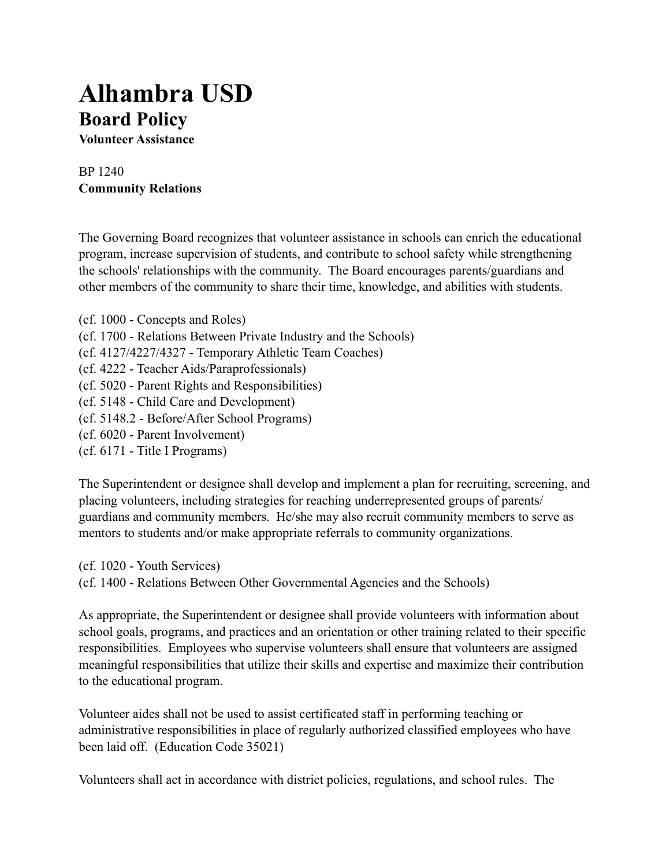## **Alhambra USD Board Policy**

**Volunteer Assistance**

## BP 1240 **Community Relations**

The Governing Board recognizes that volunteer assistance in schools can enrich the educational program, increase supervision of students, and contribute to school safety while strengthening the schools' relationships with the community. The Board encourages parents/guardians and other members of the community to share their time, knowledge, and abilities with students.

- (cf. 1000 Concepts and Roles)
- (cf. 1700 Relations Between Private Industry and the Schools)
- (cf. 4127/4227/4327 Temporary Athletic Team Coaches)
- (cf. 4222 Teacher Aids/Paraprofessionals)
- (cf. 5020 Parent Rights and Responsibilities)
- (cf. 5148 Child Care and Development)
- (cf. 5148.2 Before/After School Programs)
- (cf. 6020 Parent Involvement)
- (cf. 6171 Title I Programs)

The Superintendent or designee shall develop and implement a plan for recruiting, screening, and placing volunteers, including strategies for reaching underrepresented groups of parents/ guardians and community members. He/she may also recruit community members to serve as mentors to students and/or make appropriate referrals to community organizations.

(cf. 1020 - Youth Services) (cf. 1400 - Relations Between Other Governmental Agencies and the Schools)

As appropriate, the Superintendent or designee shall provide volunteers with information about school goals, programs, and practices and an orientation or other training related to their specific responsibilities. Employees who supervise volunteers shall ensure that volunteers are assigned meaningful responsibilities that utilize their skills and expertise and maximize their contribution to the educational program.

Volunteer aides shall not be used to assist certificated staff in performing teaching or administrative responsibilities in place of regularly authorized classified employees who have been laid off. (Education Code 35021)

Volunteers shall act in accordance with district policies, regulations, and school rules. The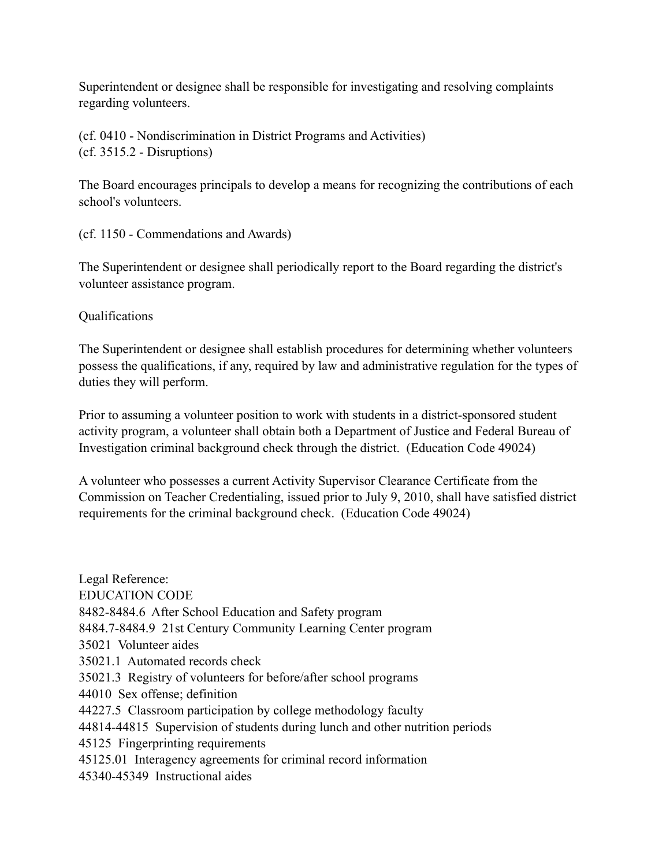Superintendent or designee shall be responsible for investigating and resolving complaints regarding volunteers.

(cf. 0410 - Nondiscrimination in District Programs and Activities) (cf. 3515.2 - Disruptions)

The Board encourages principals to develop a means for recognizing the contributions of each school's volunteers.

(cf. 1150 - Commendations and Awards)

The Superintendent or designee shall periodically report to the Board regarding the district's volunteer assistance program.

Qualifications

The Superintendent or designee shall establish procedures for determining whether volunteers possess the qualifications, if any, required by law and administrative regulation for the types of duties they will perform.

Prior to assuming a volunteer position to work with students in a district-sponsored student activity program, a volunteer shall obtain both a Department of Justice and Federal Bureau of Investigation criminal background check through the district. (Education Code 49024)

A volunteer who possesses a current Activity Supervisor Clearance Certificate from the Commission on Teacher Credentialing, issued prior to July 9, 2010, shall have satisfied district requirements for the criminal background check. (Education Code 49024)

Legal Reference: EDUCATION CODE 8482-8484.6 After School Education and Safety program 8484.7-8484.9 21st Century Community Learning Center program 35021 Volunteer aides 35021.1 Automated records check 35021.3 Registry of volunteers for before/after school programs 44010 Sex offense; definition 44227.5 Classroom participation by college methodology faculty 44814-44815 Supervision of students during lunch and other nutrition periods 45125 Fingerprinting requirements 45125.01 Interagency agreements for criminal record information 45340-45349 Instructional aides